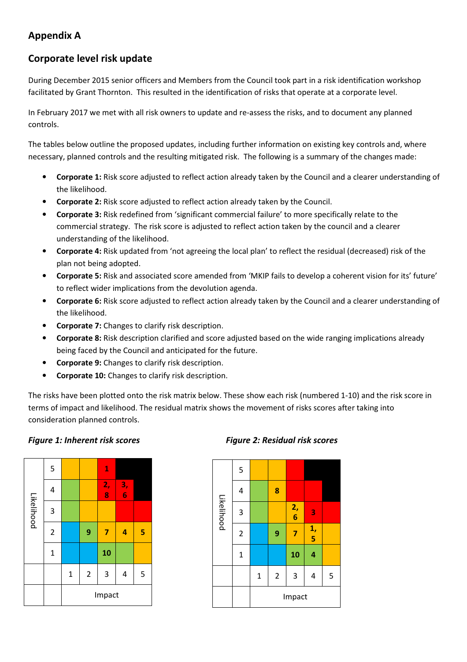### Appendix A

#### Corporate level risk update

During December 2015 senior officers and Members from the Council took part in a risk identification workshop facilitated by Grant Thornton. This resulted in the identification of risks that operate at a corporate level.

In February 2017 we met with all risk owners to update and re-assess the risks, and to document any planned controls.

The tables below outline the proposed updates, including further information on existing key controls and, where necessary, planned controls and the resulting mitigated risk. The following is a summary of the changes made:

- Corporate 1: Risk score adjusted to reflect action already taken by the Council and a clearer understanding of the likelihood.
- Corporate 2: Risk score adjusted to reflect action already taken by the Council.
- Corporate 3: Risk redefined from 'significant commercial failure' to more specifically relate to the commercial strategy. The risk score is adjusted to reflect action taken by the council and a clearer understanding of the likelihood.
- Corporate 4: Risk updated from 'not agreeing the local plan' to reflect the residual (decreased) risk of the plan not being adopted.
- Corporate 5: Risk and associated score amended from 'MKIP fails to develop a coherent vision for its' future' to reflect wider implications from the devolution agenda.
- Corporate 6: Risk score adjusted to reflect action already taken by the Council and a clearer understanding of the likelihood.
- **Corporate 7:** Changes to clarify risk description.
- Corporate 8: Risk description clarified and score adjusted based on the wide ranging implications already being faced by the Council and anticipated for the future.
- Corporate 9: Changes to clarify risk description.
- Corporate 10: Changes to clarify risk description.

The risks have been plotted onto the risk matrix below. These show each risk (numbered 1-10) and the risk score in terms of impact and likelihood. The residual matrix shows the movement of risks scores after taking into consideration planned controls.

#### Figure 1: Inherent risk scores Figure 2: Residual risk scores



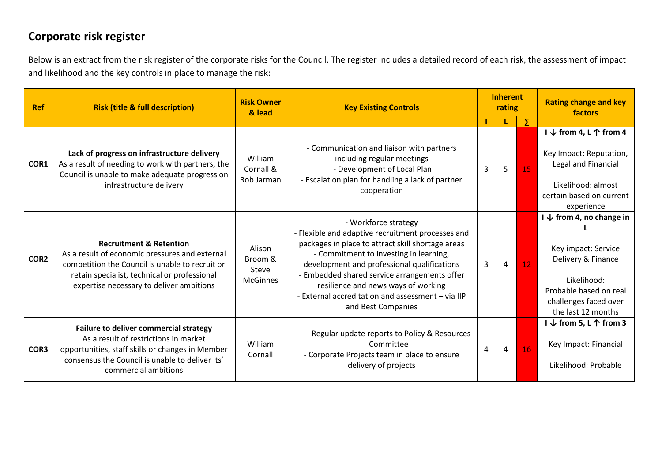## Corporate risk register

Below is an extract from the risk register of the corporate risks for the Council. The register includes a detailed record of each risk, the assessment of impact and likelihood and the key controls in place to manage the risk:

| <b>Ref</b>       | <b>Risk (title &amp; full description)</b>                                                                                                                                                                                          | <b>Risk Owner</b><br><b>Key Existing Controls</b><br>& lead |                                                                                                                                                                                                                                                                                                                                                                                           |                | <b>Inherent</b><br>rating |    | <b>Rating change and key</b><br><b>factors</b>                                                                                                                           |
|------------------|-------------------------------------------------------------------------------------------------------------------------------------------------------------------------------------------------------------------------------------|-------------------------------------------------------------|-------------------------------------------------------------------------------------------------------------------------------------------------------------------------------------------------------------------------------------------------------------------------------------------------------------------------------------------------------------------------------------------|----------------|---------------------------|----|--------------------------------------------------------------------------------------------------------------------------------------------------------------------------|
|                  |                                                                                                                                                                                                                                     |                                                             |                                                                                                                                                                                                                                                                                                                                                                                           |                |                           | Σ  |                                                                                                                                                                          |
| COR1             | Lack of progress on infrastructure delivery<br>As a result of needing to work with partners, the<br>Council is unable to make adequate progress on<br>infrastructure delivery                                                       | William<br>Cornall &<br>Rob Jarman                          | - Communication and liaison with partners<br>including regular meetings<br>- Development of Local Plan<br>- Escalation plan for handling a lack of partner<br>cooperation                                                                                                                                                                                                                 | 3              | 5                         | 15 | I $\downarrow$ from 4, L $\uparrow$ from 4<br>Key Impact: Reputation,<br>Legal and Financial<br>Likelihood: almost<br>certain based on current<br>experience             |
| COR <sub>2</sub> | <b>Recruitment &amp; Retention</b><br>As a result of economic pressures and external<br>competition the Council is unable to recruit or<br>retain specialist, technical or professional<br>expertise necessary to deliver ambitions | Alison<br>Broom &<br>Steve<br><b>McGinnes</b>               | - Workforce strategy<br>- Flexible and adaptive recruitment processes and<br>packages in place to attract skill shortage areas<br>- Commitment to investing in learning,<br>development and professional qualifications<br>- Embedded shared service arrangements offer<br>resilience and news ways of working<br>- External accreditation and assessment - via IIP<br>and Best Companies | 3              | $\overline{4}$            | 12 | $I \downarrow$ from 4, no change in<br>Key impact: Service<br>Delivery & Finance<br>Likelihood:<br>Probable based on real<br>challenges faced over<br>the last 12 months |
| COR3             | Failure to deliver commercial strategy<br>As a result of restrictions in market<br>opportunities, staff skills or changes in Member<br>consensus the Council is unable to deliver its'<br>commercial ambitions                      | William<br>Cornall                                          | - Regular update reports to Policy & Resources<br>Committee<br>- Corporate Projects team in place to ensure<br>delivery of projects                                                                                                                                                                                                                                                       | $\overline{4}$ | 4                         | 16 | I $\downarrow$ from 5, L $\uparrow$ from 3<br>Key Impact: Financial<br>Likelihood: Probable                                                                              |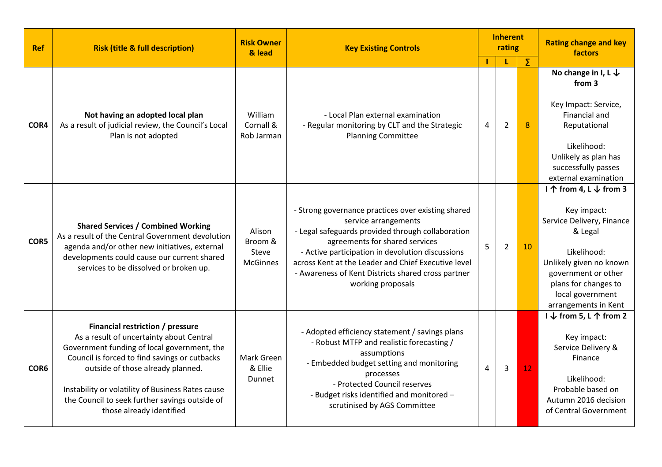| <b>Ref</b> | <b>Risk (title &amp; full description)</b>                                                                                                                                                                                                                                                                                                           | <b>Risk Owner</b><br>& lead                   | <b>Key Existing Controls</b>                                                                                                                                                                                                                                                                                                                            | <b>Inherent</b><br>rating |                |    | <b>Rating change and key</b><br>factors                                                                                                                                                                            |  |
|------------|------------------------------------------------------------------------------------------------------------------------------------------------------------------------------------------------------------------------------------------------------------------------------------------------------------------------------------------------------|-----------------------------------------------|---------------------------------------------------------------------------------------------------------------------------------------------------------------------------------------------------------------------------------------------------------------------------------------------------------------------------------------------------------|---------------------------|----------------|----|--------------------------------------------------------------------------------------------------------------------------------------------------------------------------------------------------------------------|--|
|            |                                                                                                                                                                                                                                                                                                                                                      |                                               |                                                                                                                                                                                                                                                                                                                                                         |                           |                | Σ  |                                                                                                                                                                                                                    |  |
|            |                                                                                                                                                                                                                                                                                                                                                      |                                               |                                                                                                                                                                                                                                                                                                                                                         |                           |                |    | No change in I, L $\downarrow$<br>from 3                                                                                                                                                                           |  |
| COR4       | Not having an adopted local plan<br>As a result of judicial review, the Council's Local<br>Plan is not adopted                                                                                                                                                                                                                                       | William<br>Cornall &<br>Rob Jarman            | - Local Plan external examination<br>- Regular monitoring by CLT and the Strategic<br><b>Planning Committee</b>                                                                                                                                                                                                                                         |                           | $\overline{2}$ | 8  | Key Impact: Service,<br><b>Financial and</b><br>Reputational                                                                                                                                                       |  |
|            |                                                                                                                                                                                                                                                                                                                                                      |                                               |                                                                                                                                                                                                                                                                                                                                                         |                           |                |    | Likelihood:<br>Unlikely as plan has<br>successfully passes<br>external examination                                                                                                                                 |  |
| COR5       | <b>Shared Services / Combined Working</b><br>As a result of the Central Government devolution<br>agenda and/or other new initiatives, external<br>developments could cause our current shared<br>services to be dissolved or broken up.                                                                                                              | Alison<br>Broom &<br>Steve<br><b>McGinnes</b> | - Strong governance practices over existing shared<br>service arrangements<br>- Legal safeguards provided through collaboration<br>agreements for shared services<br>- Active participation in devolution discussions<br>across Kent at the Leader and Chief Executive level<br>- Awareness of Kent Districts shared cross partner<br>working proposals | 5                         | $\overline{2}$ | 10 | I ↑ from 4, L ↓ from 3<br>Key impact:<br>Service Delivery, Finance<br>& Legal<br>Likelihood:<br>Unlikely given no known<br>government or other<br>plans for changes to<br>local government<br>arrangements in Kent |  |
| COR6       | Financial restriction / pressure<br>As a result of uncertainty about Central<br>Government funding of local government, the<br>Council is forced to find savings or cutbacks<br>outside of those already planned.<br>Instability or volatility of Business Rates cause<br>the Council to seek further savings outside of<br>those already identified | <b>Mark Green</b><br>& Ellie<br>Dunnet        | - Adopted efficiency statement / savings plans<br>- Robust MTFP and realistic forecasting /<br>assumptions<br>- Embedded budget setting and monitoring<br>processes<br>- Protected Council reserves<br>- Budget risks identified and monitored -<br>scrutinised by AGS Committee                                                                        | 4                         | 3              | 12 | I ↓ from 5, L ↑ from 2<br>Key impact:<br>Service Delivery &<br>Finance<br>Likelihood:<br>Probable based on<br>Autumn 2016 decision<br>of Central Government                                                        |  |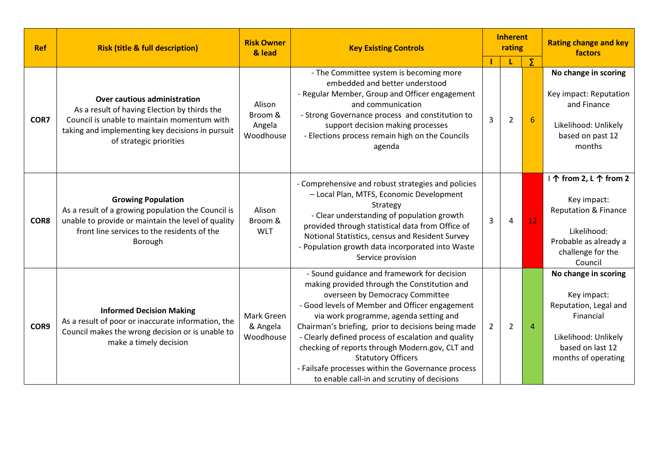| <b>Ref</b> | <b>Risk (title &amp; full description)</b>                                                                                                                                                                        | <b>Risk Owner</b><br>& lead              | <b>Inherent</b><br><b>Key Existing Controls</b><br>rating                                                                                                                                                                                                                                                                                                                                                                                                                                                                    |              |                | <b>Rating change and key</b><br>factors |                                                                                                                                                  |
|------------|-------------------------------------------------------------------------------------------------------------------------------------------------------------------------------------------------------------------|------------------------------------------|------------------------------------------------------------------------------------------------------------------------------------------------------------------------------------------------------------------------------------------------------------------------------------------------------------------------------------------------------------------------------------------------------------------------------------------------------------------------------------------------------------------------------|--------------|----------------|-----------------------------------------|--------------------------------------------------------------------------------------------------------------------------------------------------|
| COR7       | <b>Over cautious administration</b><br>As a result of having Election by thirds the<br>Council is unable to maintain momentum with<br>taking and implementing key decisions in pursuit<br>of strategic priorities | Alison<br>Broom &<br>Angela<br>Woodhouse | - The Committee system is becoming more<br>embedded and better understood<br>- Regular Member, Group and Officer engagement<br>and communication<br>- Strong Governance process and constitution to<br>support decision making processes<br>- Elections process remain high on the Councils<br>agenda                                                                                                                                                                                                                        | 3            | $\overline{2}$ | Σ<br>6                                  | No change in scoring<br>Key impact: Reputation<br>and Finance<br>Likelihood: Unlikely<br>based on past 12<br>months                              |
| COR8       | <b>Growing Population</b><br>As a result of a growing population the Council is<br>unable to provide or maintain the level of quality<br>front line services to the residents of the<br>Borough                   | Alison<br>Broom &<br><b>WLT</b>          | - Comprehensive and robust strategies and policies<br>- Local Plan, MTFS, Economic Development<br>Strategy<br>- Clear understanding of population growth<br>provided through statistical data from Office of<br>Notional Statistics, census and Resident Survey<br>- Population growth data incorporated into Waste<br>Service provision                                                                                                                                                                                     | 3<br>12<br>4 |                |                                         | I ↑ from 2, L ↑ from 2<br>Key impact:<br><b>Reputation &amp; Finance</b><br>Likelihood:<br>Probable as already a<br>challenge for the<br>Council |
| COR9       | <b>Informed Decision Making</b><br>As a result of poor or inaccurate information, the<br>Council makes the wrong decision or is unable to<br>make a timely decision                                               | Mark Green<br>& Angela<br>Woodhouse      | - Sound guidance and framework for decision<br>making provided through the Constitution and<br>overseen by Democracy Committee<br>- Good levels of Member and Officer engagement<br>via work programme, agenda setting and<br>Chairman's briefing, prior to decisions being made<br>- Clearly defined process of escalation and quality<br>checking of reports through Modern.gov, CLT and<br><b>Statutory Officers</b><br>- Failsafe processes within the Governance process<br>to enable call-in and scrutiny of decisions | $\mathbf{2}$ | $\overline{2}$ | $\overline{4}$                          | No change in scoring<br>Key impact:<br>Reputation, Legal and<br>Financial<br>Likelihood: Unlikely<br>based on last 12<br>months of operating     |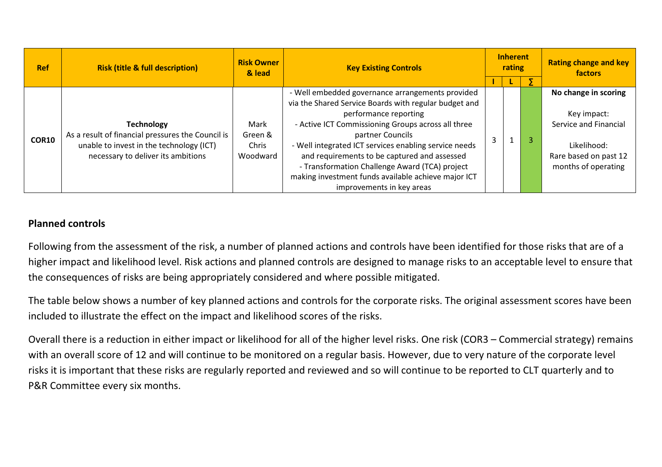| <b>Ref</b> | <b>Risk (title &amp; full description)</b>                                                                                                               | <b>Risk Owner</b><br>& lead          | <b>Key Existing Controls</b>                                                                                                                                                                                                                                                                                                                                                                                                                                |  | <b>Inherent</b><br>rating |  | <b>Rating change and key</b><br>factors                                                                                     |  |
|------------|----------------------------------------------------------------------------------------------------------------------------------------------------------|--------------------------------------|-------------------------------------------------------------------------------------------------------------------------------------------------------------------------------------------------------------------------------------------------------------------------------------------------------------------------------------------------------------------------------------------------------------------------------------------------------------|--|---------------------------|--|-----------------------------------------------------------------------------------------------------------------------------|--|
|            |                                                                                                                                                          |                                      |                                                                                                                                                                                                                                                                                                                                                                                                                                                             |  |                           |  |                                                                                                                             |  |
| COR10      | <b>Technology</b><br>As a result of financial pressures the Council is<br>unable to invest in the technology (ICT)<br>necessary to deliver its ambitions | Mark<br>Green &<br>Chris<br>Woodward | - Well embedded governance arrangements provided<br>via the Shared Service Boards with regular budget and<br>performance reporting<br>- Active ICT Commissioning Groups across all three<br>partner Councils<br>- Well integrated ICT services enabling service needs<br>and requirements to be captured and assessed<br>- Transformation Challenge Award (TCA) project<br>making investment funds available achieve major ICT<br>improvements in key areas |  |                           |  | No change in scoring<br>Key impact:<br>Service and Financial<br>Likelihood:<br>Rare based on past 12<br>months of operating |  |

#### Planned controls

Following from the assessment of the risk, a number of planned actions and controls have been identified for those risks that are of a higher impact and likelihood level. Risk actions and planned controls are designed to manage risks to an acceptable level to ensure that the consequences of risks are being appropriately considered and where possible mitigated.

The table below shows a number of key planned actions and controls for the corporate risks. The original assessment scores have been included to illustrate the effect on the impact and likelihood scores of the risks.

Overall there is a reduction in either impact or likelihood for all of the higher level risks. One risk (COR3 – Commercial strategy) remains with an overall score of 12 and will continue to be monitored on a regular basis. However, due to very nature of the corporate level risks it is important that these risks are regularly reported and reviewed and so will continue to be reported to CLT quarterly and to P&R Committee every six months.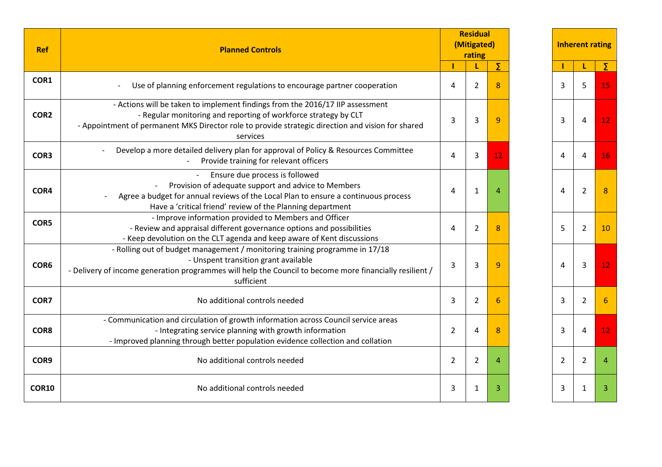| <b>Ref</b>       | <b>Planned Controls</b>                                                                                                                                                                                                                                           | <b>Residual</b><br>(Mitigated)<br>rating |                |    | <b>Inherent rating</b> |                |                 |
|------------------|-------------------------------------------------------------------------------------------------------------------------------------------------------------------------------------------------------------------------------------------------------------------|------------------------------------------|----------------|----|------------------------|----------------|-----------------|
|                  |                                                                                                                                                                                                                                                                   |                                          |                | Σ  |                        |                | Σ               |
| COR1             | Use of planning enforcement regulations to encourage partner cooperation                                                                                                                                                                                          | 4                                        | $\overline{2}$ | 8  | 3                      | 5              | 15              |
| COR <sub>2</sub> | - Actions will be taken to implement findings from the 2016/17 IIP assessment<br>- Regular monitoring and reporting of workforce strategy by CLT<br>- Appointment of permanent MKS Director role to provide strategic direction and vision for shared<br>services | 3                                        | 3              | 9  | 3                      | $\overline{4}$ | 12              |
| COR3             | Develop a more detailed delivery plan for approval of Policy & Resources Committee<br>Provide training for relevant officers                                                                                                                                      | $\overline{4}$                           | 3              | 12 | $\overline{4}$         | 4              | 16.             |
| COR4             | Ensure due process is followed<br>Provision of adequate support and advice to Members<br>Agree a budget for annual reviews of the Local Plan to ensure a continuous process<br>Have a 'critical friend' review of the Planning department                         | 4                                        | 1              | 4  | $\overline{4}$         | $\overline{2}$ | 8               |
| COR5             | - Improve information provided to Members and Officer<br>- Review and appraisal different governance options and possibilities<br>- Keep devolution on the CLT agenda and keep aware of Kent discussions                                                          | 4                                        | 2              | 8  | 5                      | $\overline{2}$ | 10              |
| COR6             | - Rolling out of budget management / monitoring training programme in 17/18<br>- Unspent transition grant available<br>- Delivery of income generation programmes will help the Council to become more financially resilient /<br>sufficient                      | 3                                        | 3              | 9  | 4                      | 3              | 12 <sub>1</sub> |
| COR7             | No additional controls needed                                                                                                                                                                                                                                     | 3                                        | $\overline{2}$ | 6  | 3                      | $\overline{2}$ | 6               |
| COR8             | - Communication and circulation of growth information across Council service areas<br>- Integrating service planning with growth information<br>- Improved planning through better population evidence collection and collation                                   | $\overline{2}$                           | 4              | 8  | 3                      | 4              | 12.             |
| COR9             | No additional controls needed                                                                                                                                                                                                                                     | $\overline{2}$                           | $\overline{2}$ | 4  | 2                      | $\overline{2}$ | 4               |
| <b>COR10</b>     | No additional controls needed                                                                                                                                                                                                                                     | 3                                        | 1              | 3  | 3                      | 1              | 3               |

|                         | <b>Residual</b><br>(Mitigated)<br>rating |                         |                | <b>Inherent rating</b>  |                         |
|-------------------------|------------------------------------------|-------------------------|----------------|-------------------------|-------------------------|
| I                       | Ĺ                                        | Σ                       | Ī              | L                       | Σ                       |
| 4                       | $\overline{\mathbf{c}}$                  | 8                       | 3              | 5                       | 15                      |
| 3                       | 3                                        | 9                       | 3              | 4                       | 12                      |
| 4                       | 3                                        | 12                      | 4              | $\pmb{4}$               | <b>16</b>               |
| 4                       | $\mathbf{1}$                             | 4                       | 4              | $\overline{\mathbf{c}}$ | $\bf 8$                 |
| 4                       | $\overline{c}$                           | 8                       | 5              | $\overline{c}$          | 10                      |
| 3                       | 3                                        | 9                       | 4              | 3                       | 12                      |
| 3                       | $\overline{c}$                           | $\overline{6}$          | 3              | $\overline{\mathbf{c}}$ | $\overline{6}$          |
| $\overline{\mathbf{c}}$ | 4                                        | 8                       | 3              | 4                       | 12                      |
| 2                       | $\overline{2}$                           | $\overline{\mathbf{4}}$ | $\overline{2}$ | $\overline{2}$          | $\overline{\mathbf{4}}$ |
| 3                       | $\mathbf 1$                              | 3                       | 3              | $\mathbf{1}$            | 3                       |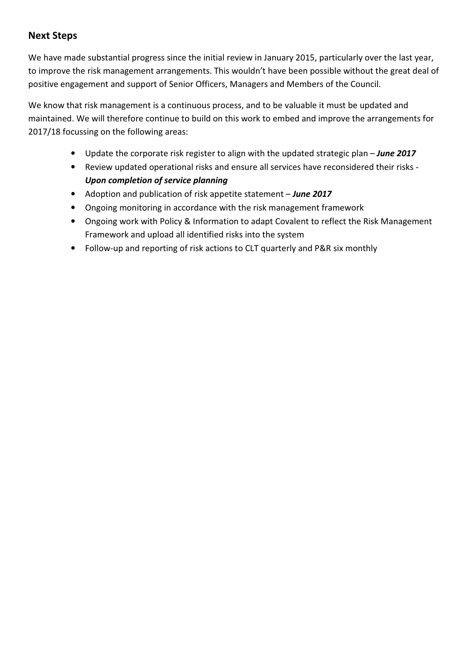#### Next Steps

We have made substantial progress since the initial review in January 2015, particularly over the last year, to improve the risk management arrangements. This wouldn't have been possible without the great deal of positive engagement and support of Senior Officers, Managers and Members of the Council.

We know that risk management is a continuous process, and to be valuable it must be updated and maintained. We will therefore continue to build on this work to embed and improve the arrangements for 2017/18 focussing on the following areas:

- Update the corporate risk register to align with the updated strategic plan June 2017
- Review updated operational risks and ensure all services have reconsidered their risks Upon completion of service planning
- Adoption and publication of risk appetite statement June 2017
- Ongoing monitoring in accordance with the risk management framework
- Ongoing work with Policy & Information to adapt Covalent to reflect the Risk Management Framework and upload all identified risks into the system
- Follow-up and reporting of risk actions to CLT quarterly and P&R six monthly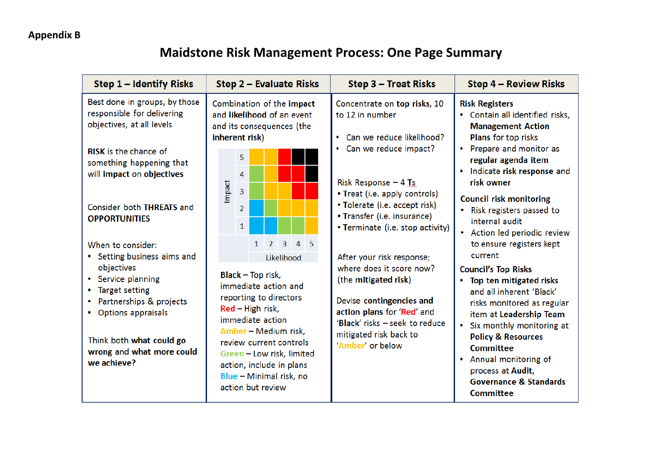# Maidstone Risk Management Process: One Page Summary

| Step 1 - Identify Risks                                                                                                                                                                                                                | Step 2 - Evaluate Risks                                                                                                                                                                                                                                                                                                                      | Step 3 - Treat Risks                                                                                                                                                                                                                                                    | <b>Step 4 - Review Risks</b>                                                                                                                                                                                                                                                                                                                                                    |
|----------------------------------------------------------------------------------------------------------------------------------------------------------------------------------------------------------------------------------------|----------------------------------------------------------------------------------------------------------------------------------------------------------------------------------------------------------------------------------------------------------------------------------------------------------------------------------------------|-------------------------------------------------------------------------------------------------------------------------------------------------------------------------------------------------------------------------------------------------------------------------|---------------------------------------------------------------------------------------------------------------------------------------------------------------------------------------------------------------------------------------------------------------------------------------------------------------------------------------------------------------------------------|
| Best done in groups, by those<br>responsible for delivering<br>objectives, at all levels<br><b>RISK</b> is the chance of<br>something happening that<br>will impact on objectives<br>Consider both THREATS and<br><b>OPPORTUNITIES</b> | Combination of the impact<br>and likelihood of an event<br>and its consequences (the<br>inherent risk)<br>5.<br>4<br>Impact<br>$\overline{3}$<br>$\overline{2}$<br>$\mathbf{1}$                                                                                                                                                              | Concentrate on top risks, 10<br>to 12 in number<br>• Can we reduce likelihood?<br>• Can we reduce impact?<br>Risk Response $-4$ Ts<br>• Treat (i.e. apply controls)<br>• Tolerate (i.e. accept risk)<br>• Transfer (i.e. insurance)<br>• Terminate (i.e. stop activity) | <b>Risk Registers</b><br>• Contain all identified risks,<br><b>Management Action</b><br>Plans for top risks<br>• Prepare and monitor as<br>regular agenda item<br>• Indicate risk response and<br>risk owner<br><b>Council risk monitoring</b><br>Risk registers passed to<br>$\bullet$<br>internal audit<br>• Action led periodic review                                       |
| When to consider:<br>• Setting business aims and<br>objectives<br>• Service planning<br>• Target setting<br>• Partnerships & projects<br>• Options appraisals<br>Think both what could go<br>wrong and what more could<br>we achieve?  | $3 \quad 4 \quad 5$<br>$\overline{2}$<br>1<br>Likelihood<br><b>Black - Top risk,</b><br>immediate action and<br>reporting to directors<br>$Red$ – High risk,<br>immediate action<br>Amber - Medium risk,<br>review current controls<br>Green - Low risk, limited<br>action, include in plans<br>Blue - Minimal risk, no<br>action but review | After your risk response;<br>where does it score now?<br>(the mitigated risk)<br>Devise contingencies and<br>action plans for 'Red' and<br>'Black' risks - seek to reduce<br>mitigated risk back to<br>'Amber' or below                                                 | to ensure registers kept<br>current<br><b>Council's Top Risks</b><br>• Top ten mitigated risks<br>and all inherent 'Black'<br>risks monitored as regular<br>item at Leadership Team<br>• Six monthly monitoring at<br><b>Policy &amp; Resources</b><br><b>Committee</b><br>• Annual monitoring of<br>process at Audit,<br><b>Governance &amp; Standards</b><br><b>Committee</b> |